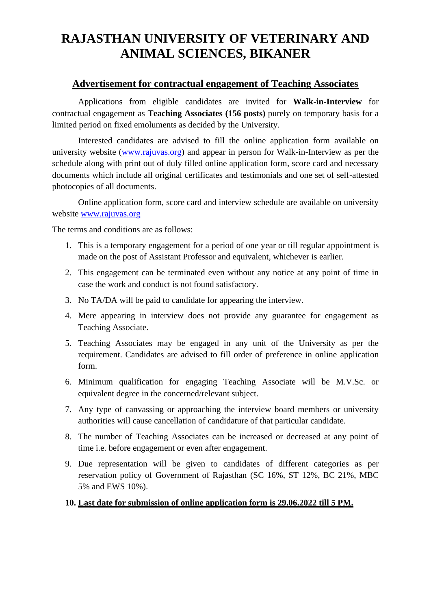## **RAJASTHAN UNIVERSITY OF VETERINARY AND ANIMAL SCIENCES, BIKANER**

## **Advertisement for contractual engagement of Teaching Associates**

Applications from eligible candidates are invited for **Walk-in-Interview** for contractual engagement as **Teaching Associates (156 posts)** purely on temporary basis for a limited period on fixed emoluments as decided by the University.

Interested candidates are advised to fill the online application form available on university website [\(www.rajuvas.org\)](http://www.rajuvas.org/) and appear in person for Walk-in-Interview as per the schedule along with print out of duly filled online application form, score card and necessary documents which include all original certificates and testimonials and one set of self-attested photocopies of all documents.

Online application form, score card and interview schedule are available on university website [www.rajuvas.org](http://www.rajuvas.org/) 

The terms and conditions are as follows:

- 1. This is a temporary engagement for a period of one year or till regular appointment is made on the post of Assistant Professor and equivalent, whichever is earlier.
- 2. This engagement can be terminated even without any notice at any point of time in case the work and conduct is not found satisfactory.
- 3. No TA/DA will be paid to candidate for appearing the interview.
- 4. Mere appearing in interview does not provide any guarantee for engagement as Teaching Associate.
- 5. Teaching Associates may be engaged in any unit of the University as per the requirement. Candidates are advised to fill order of preference in online application form.
- 6. Minimum qualification for engaging Teaching Associate will be M.V.Sc. or equivalent degree in the concerned/relevant subject.
- 7. Any type of canvassing or approaching the interview board members or university authorities will cause cancellation of candidature of that particular candidate.
- 8. The number of Teaching Associates can be increased or decreased at any point of time i.e. before engagement or even after engagement.
- 9. Due representation will be given to candidates of different categories as per reservation policy of Government of Rajasthan (SC 16%, ST 12%, BC 21%, MBC 5% and EWS 10%).

## **10. Last date for submission of online application form is 29.06.2022 till 5 PM.**